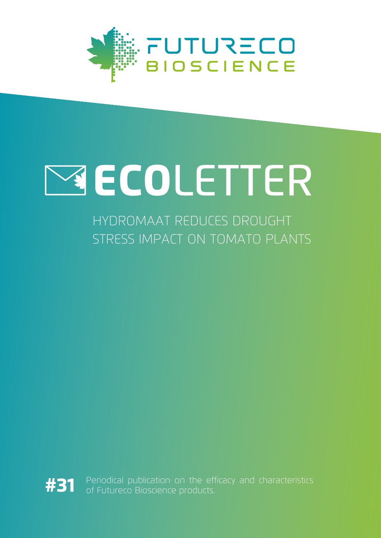

# **WECOLETTER**

HYDROMAAT REDUCES DROUGHT STRESS IMPACT ON TOMATO PLANTS



Periodical publication on the efficacy and characteristics of Futureco Bioscience products.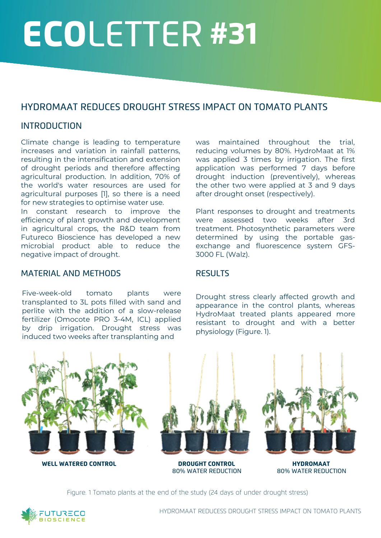## ECOLETTER #31

### HYDROMAAT REDUCES DROUGHT STRESS IMPACT ON TOMATO PLANTS

#### INTRODUCTION

Climate change is leading to temperature increases and variation in rainfall patterns, resulting in the intensification and extension of drought periods and therefore affecting agricultural production. In addition, 70% of the world's water resources are used for agricultural purposes [1], so there is a need for new strategies to optimise water use.

In constant research to improve the efficiency of plant growth and development in agricultural crops, the R&D team from Futureco Bioscience has developed a new microbial product able to reduce the negative impact of drought.

#### MATERIAL AND METHODS

Five-week-old tomato plants were transplanted to 3L pots filled with sand and perlite with the addition of a slow-release fertilizer (Omocote PRO 3-4M, ICL) applied by drip irrigation. Drought stress was induced two weeks after transplanting and

was maintained throughout the trial, reducing volumes by 80%. HydroMaat at 1% was applied 3 times by irrigation. The first application was performed 7 days before drought induction (preventively), whereas the other two were applied at 3 and 9 days after drought onset (respectively).

Plant responses to drought and treatments were assessed two weeks after 3rd treatment. Photosynthetic parameters were determined by using the portable gasexchange and fluorescence system GFS-3000 FL (Walz).

#### **RESULTS**

Drought stress clearly affected growth and appearance in the control plants, whereas HydroMaat treated plants appeared more resistant to drought and with a better physiology (Figure. 1).



80% WATER REDUCTION 80% WATER REDUCTION

Figure. 1 Tomato plants at the end of the study (24 days of under drought stress)

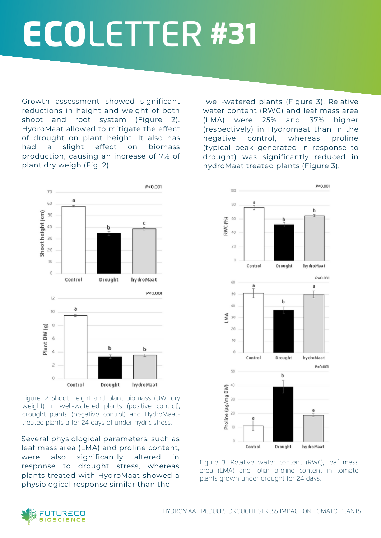### ECOLETTER #31

Growth assessment showed significant reductions in height and weight of both shoot and root system (Figure 2). HydroMaat allowed to mitigate the effect of drought on plant height. It also has had a slight effect on biomass production, causing an increase of 7% of plant dry weigh (Fig. 2).

well-watered plants (Figure 3). Relative water content (RWC) and leaf mass area (LMA) were 25% and 37% higher (respectively) in Hydromaat than in the negative control, whereas proline (typical peak generated in response to drought) was significantly reduced in hydroMaat treated plants (Figure 3).



Figure. 2 Shoot height and plant biomass (DW, dry weight) in well-watered plants (positive control), drought plants (negative control) and HydroMaattreated plants after 24 days of under hydric stress.

Several physiological parameters, such as leaf mass area (LMA) and proline content, were also significantly altered in response to drought stress, whereas plants treated with HydroMaat showed a physiological response similar than the



Figure 3. Relative water content (RWC), leaf mass area (LMA) and foliar proline content in tomato plants grown under drought for 24 days.